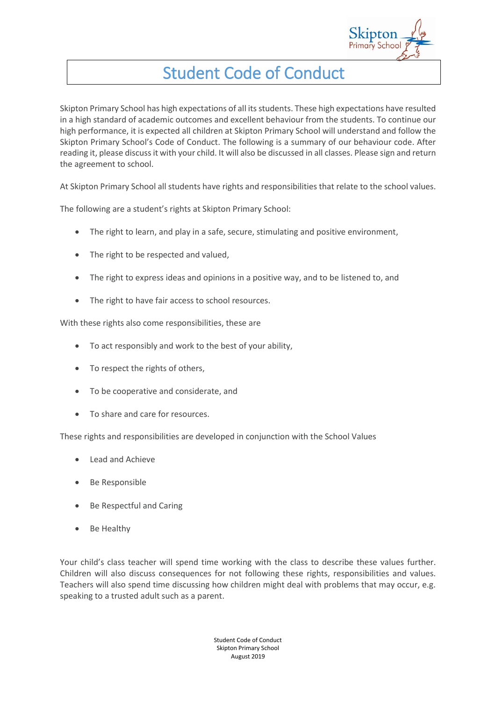

## Student Code of Conduct

Skipton Primary School has high expectations of all its students. These high expectations have resulted in a high standard of academic outcomes and excellent behaviour from the students. To continue our high performance, it is expected all children at Skipton Primary School will understand and follow the Skipton Primary School's Code of Conduct. The following is a summary of our behaviour code. After reading it, please discuss it with your child. It will also be discussed in all classes. Please sign and return the agreement to school.

At Skipton Primary School all students have rights and responsibilities that relate to the school values.

The following are a student's rights at Skipton Primary School:

- The right to learn, and play in a safe, secure, stimulating and positive environment,
- The right to be respected and valued,
- The right to express ideas and opinions in a positive way, and to be listened to, and
- The right to have fair access to school resources.

With these rights also come responsibilities, these are

- To act responsibly and work to the best of your ability,
- To respect the rights of others,
- To be cooperative and considerate, and
- To share and care for resources.

These rights and responsibilities are developed in conjunction with the School Values

- Lead and Achieve
- Be Responsible
- Be Respectful and Caring
- Be Healthy

Your child's class teacher will spend time working with the class to describe these values further. Children will also discuss consequences for not following these rights, responsibilities and values. Teachers will also spend time discussing how children might deal with problems that may occur, e.g. speaking to a trusted adult such as a parent.

> Student Code of Conduct Skipton Primary School August 2019